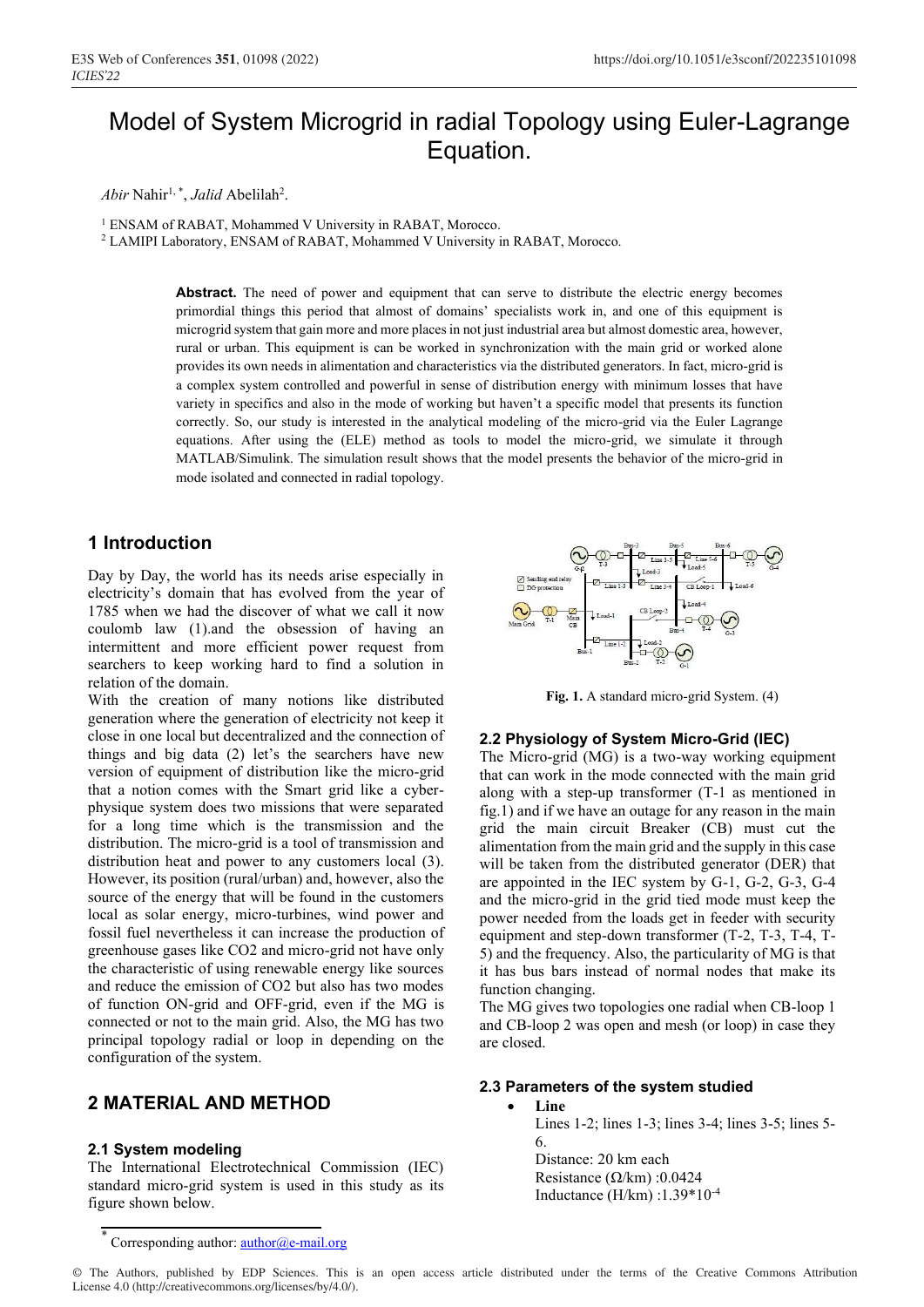# Model of System Microgrid in radial Topology using Euler-Lagrange Equation.

*Abir* Nahir1, \*, *Jalid* Abelilah2 .

<sup>1</sup> ENSAM of RABAT, Mohammed V University in RABAT, Morocco.

<sup>2</sup> LAMIPI Laboratory, ENSAM of RABAT, Mohammed V University in RABAT, Morocco.

Abstract. The need of power and equipment that can serve to distribute the electric energy becomes primordial things this period that almost of domains' specialists work in, and one of this equipment is microgrid system that gain more and more places in not just industrial area but almost domestic area, however, rural or urban. This equipment is can be worked in synchronization with the main grid or worked alone provides its own needs in alimentation and characteristics via the distributed generators. In fact, micro-grid is a complex system controlled and powerful in sense of distribution energy with minimum losses that have variety in specifics and also in the mode of working but haven't a specific model that presents its function correctly. So, our study is interested in the analytical modeling of the micro-grid via the Euler Lagrange equations. After using the (ELE) method as tools to model the micro-grid, we simulate it through MATLAB/Simulink. The simulation result shows that the model presents the behavior of the micro-grid in mode isolated and connected in radial topology.

## **1 Introduction**

Day by Day, the world has its needs arise especially in electricity's domain that has evolved from the year of 1785 when we had the discover of what we call it now coulomb law (1).and the obsession of having an intermittent and more efficient power request from searchers to keep working hard to find a solution in relation of the domain.

With the creation of many notions like distributed generation where the generation of electricity not keep it close in one local but decentralized and the connection of things and big data (2) let's the searchers have new version of equipment of distribution like the micro-grid that a notion comes with the Smart grid like a cyberphysique system does two missions that were separated for a long time which is the transmission and the distribution. The micro-grid is a tool of transmission and distribution heat and power to any customers local (3). However, its position (rural/urban) and, however, also the source of the energy that will be found in the customers local as solar energy, micro-turbines, wind power and fossil fuel nevertheless it can increase the production of greenhouse gases like CO2 and micro-grid not have only the characteristic of using renewable energy like sources and reduce the emission of CO2 but also has two modes of function ON-grid and OFF-grid, even if the MG is connected or not to the main grid. Also, the MG has two principal topology radial or loop in depending on the configuration of the system.

## **2 MATERIAL AND METHOD**

### **2.1 System modeling**

The International Electrotechnical Commission (IEC) standard micro-grid system is used in this study as its figure shown below.

 **Fig. 1.** A standard micro-grid System. (4)

#### **2.2 Physiology of System Micro-Grid (IEC)**

The Micro-grid (MG) is a two-way working equipment that can work in the mode connected with the main grid along with a step-up transformer (T-1 as mentioned in fig.1) and if we have an outage for any reason in the main grid the main circuit Breaker (CB) must cut the alimentation from the main grid and the supply in this case will be taken from the distributed generator (DER) that are appointed in the IEC system by G-1, G-2, G-3, G-4 and the micro-grid in the grid tied mode must keep the power needed from the loads get in feeder with security equipment and step-down transformer (T-2, T-3, T-4, T-5) and the frequency. Also, the particularity of MG is that it has bus bars instead of normal nodes that make its function changing.

The MG gives two topologies one radial when CB-loop 1 and CB-loop 2 was open and mesh (or loop) in case they are closed.

#### **2.3 Parameters of the system studied**

• **Line**  Lines 1-2; lines 1-3; lines 3-4; lines 3-5; lines 5- 6. Distance: 20 km each Resistance (Ω/km) :0.0424 Inductance (H/km) :1.39\*10-4

© The Authors, published by EDP Sciences. This is an open access article distributed under the terms of the Creative Commons Attribution License 4.0 (http://creativecommons.org/licenses/by/4.0/).

Corresponding author:  $\frac{\text{author}(a)e\text{-mail.org}}{\text{mail.org}}$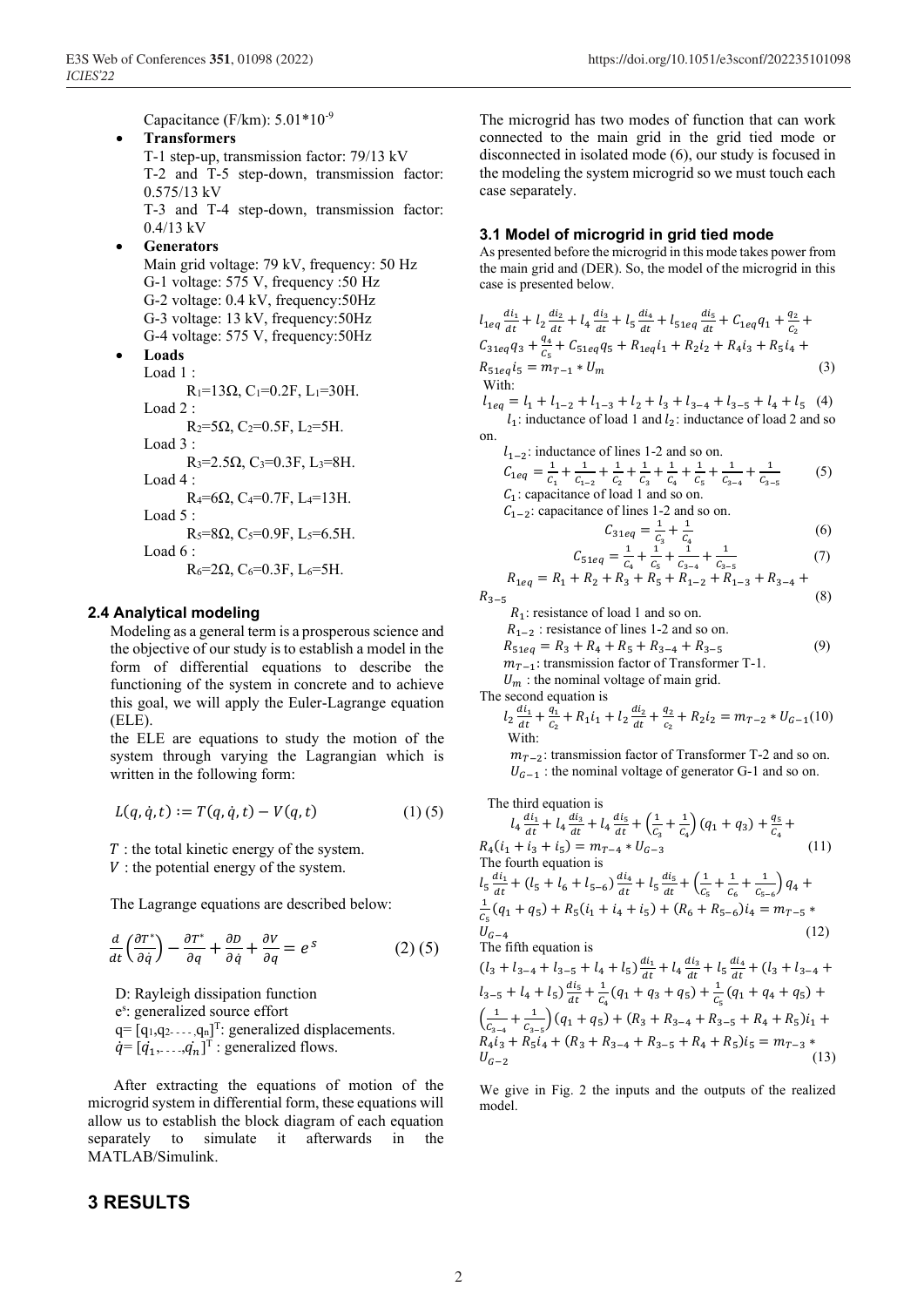Capacitance (F/km): 5.01\*10-9

- **Transformers**  T-1 step-up, transmission factor: 79/13 kV T-2 and T-5 step-down, transmission factor: 0.575/13 kV T-3 and T-4 step-down, transmission factor: 0.4/13 kV
- **Generators** 
	- Main grid voltage: 79 kV, frequency: 50 Hz G-1 voltage: 575 V, frequency :50 Hz G-2 voltage: 0.4 kV, frequency:50Hz G-3 voltage: 13 kV, frequency:50Hz G-4 voltage: 575 V, frequency:50Hz

• **Loads**

Load 1 :  $R_1=13Ω, C_1=0.2F, L_1=30H.$ Load 2 :  $R_2 = 5Ω$ , C<sub>2</sub>=0.5F, L<sub>2</sub>=5H. Load 3 :  $R_3 = 2.5$ Ω, C<sub>3</sub>=0.3F, L<sub>3</sub>=8H. Load 4 :  $R_4$ =6Ω, C<sub>4</sub>=0.7F, L<sub>4</sub>=13H. Load 5 :  $R_5 = 8Ω$ , C<sub>5</sub>=0.9F, L<sub>5</sub>=6.5H. Load 6 :  $R_6 = 2Ω$ , C<sub>6</sub>=0.3F, L<sub>6</sub>=5H.

#### **2.4 Analytical modeling**

Modeling as a general term is a prosperous science and the objective of our study is to establish a model in the form of differential equations to describe the functioning of the system in concrete and to achieve this goal, we will apply the Euler-Lagrange equation (ELE).

the ELE are equations to study the motion of the system through varying the Lagrangian which is written in the following form:

$$
L(q, \dot{q}, t) := T(q, \dot{q}, t) - V(q, t)
$$
 (1) (5)

 $T$ : the total kinetic energy of the system.

 $V$ : the potential energy of the system.

The Lagrange equations are described below:

$$
\frac{d}{dt}\left(\frac{\partial T^*}{\partial \dot{q}}\right) - \frac{\partial T^*}{\partial q} + \frac{\partial D}{\partial \dot{q}} + \frac{\partial V}{\partial q} = e^S \tag{2}
$$

 D: Rayleigh dissipation function es : generalized source effort  $q = [q_1, q_2, \dots, q_n]^T$ : generalized displacements.  $\dot{q} = [\dot{q}_1, \dots, \dot{q}_n]^T$ : generalized flows.

 After extracting the equations of motion of the microgrid system in differential form, these equations will allow us to establish the block diagram of each equation separately to simulate it afterwards in the MATLAB/Simulink.

## **3 RESULTS**

The microgrid has two modes of function that can work connected to the main grid in the grid tied mode or disconnected in isolated mode (6), our study is focused in the modeling the system microgrid so we must touch each case separately.

#### **3.1 Model of microgrid in grid tied mode**

As presented before the microgrid in this mode takes power from the main grid and (DER). So, the model of the microgrid in this case is presented below.

$$
l_{1eq} \frac{di_1}{dt} + l_2 \frac{di_2}{dt} + l_4 \frac{di_3}{dt} + l_5 \frac{di_4}{dt} + l_{51eq} \frac{di_5}{dt} + C_{1eq}q_1 + \frac{q_2}{c_2} +
$$
\n
$$
C_{31eq}q_3 + \frac{q_4}{c_5} + C_{51eq}q_5 + R_{1eq}i_1 + R_2i_2 + R_4i_3 + R_5i_4 +
$$
\n
$$
R_{51eq}i_5 = m_{T-1} * U_m
$$
\n(3)\nWith:\n
$$
l_1 = l_1 + l_2 + l_3 + l_4 + l_5 + l_6 + l_7 + l_8 + l_9 + l_1 + l_0
$$
\n(4)

 $= l_1 + l_{1-2} + l_{1-3} + l_2 + l_3 + l_{3-4} + l_{3-5} + l_4 + l_5$  (4)  $l_1$ : inductance of load 1 and  $l_2$ : inductance of load 2 and so on.

$$
l_{1-2}
$$
: inductance of lines 1-2 and so on.  
\n
$$
C_{1eq} = \frac{1}{C_1} + \frac{1}{C_{1-2}} + \frac{1}{C_2} + \frac{1}{C_3} + \frac{1}{C_4} + \frac{1}{C_5} + \frac{1}{C_{3-4}} + \frac{1}{C_{3-5}}
$$
 (5)

 $C_1$ : capacitance of load 1 and so on.  $C_{1-2}$ : capacitance of lines 1-2 and so on.

$$
C_{31eq} = \frac{1}{c_3} + \frac{1}{c_4}
$$
 (6)

$$
C_{51eq} = \frac{1}{c_4} + \frac{1}{c_5} + \frac{1}{c_{3-4}} + \frac{1}{c_{3-5}}
$$
(7)  

$$
R_{1eq} = R_1 + R_2 + R_3 + R_5 + R_{1-2} + R_{1-3} + R_{3-4} + \dots
$$

$$
R_{1eq} = R_1 + R_2 + R_3 + R_5 + R_{1-2} + R_{1-3} + R_{3-4} + R_{3-5}
$$
\n(8)

 $R_1$ : resistance of load 1 and so on.

 $R_{1-2}$ : resistance of lines 1-2 and so on.

 $R_{51eq} = R_3 + R_4 + R_5 + R_{3-4} + R_{3-5}$  (9)

 $m_{T-1}$ : transmission factor of Transformer T-1.

 $U_m$ : the nominal voltage of main grid.

The second equation is

$$
l_2 \frac{di_1}{dt} + \frac{q_1}{c_2} + R_1 i_1 + l_2 \frac{di_2}{dt} + \frac{q_2}{c_2} + R_2 i_2 = m_{T-2} * U_{G-1}(10)
$$
  
With:

 $m_{T-2}$ : transmission factor of Transformer T-2 and so on.  $U_{G-1}$ : the nominal voltage of generator G-1 and so on.

The third equation is

$$
l_4 \frac{di_1}{dt} + l_4 \frac{di_3}{dt} + l_4 \frac{di_5}{dt} + \left(\frac{1}{C_3} + \frac{1}{C_4}\right) (q_1 + q_3) + \frac{q_5}{C_4} +
$$
  
\n
$$
R_4(i_1 + i_3 + i_5) = m_{T-4} * U_{G-3}
$$
\n(11)  
\nThe fourth equation is  
\n
$$
l_5 \frac{di_1}{dt} + (l_5 + l_6 + l_{5-6}) \frac{di_4}{dt} + l_5 \frac{di_5}{dt} + \left(\frac{1}{C_5} + \frac{1}{C_6} + \frac{1}{C_{5-6}}\right) q_4 +
$$
  
\n
$$
\frac{1}{C_5} (q_1 + q_5) + R_5 (i_1 + i_4 + i_5) + (R_6 + R_{5-6}) i_4 = m_{T-5} *
$$
  
\n
$$
U_{G-4}
$$
\n(12)  
\nThe fifth equation is

$$
(l_3 + l_{3-4} + l_{3-5} + l_4 + l_5) \frac{di_1}{dt} + l_4 \frac{di_3}{dt} + l_5 \frac{di_4}{dt} + (l_3 + l_{3-4} + l_{3-5} + l_4 + l_5) \frac{di_5}{dt} + \frac{1}{C_4} (q_1 + q_3 + q_5) + \frac{1}{C_5} (q_1 + q_4 + q_5) +
$$
  

$$
\left(\frac{1}{C_{3-4}} + \frac{1}{C_{3-5}}\right) (q_1 + q_5) + (R_3 + R_{3-4} + R_{3-5} + R_4 + R_5) i_1 +
$$
  

$$
R_4 i_3 + R_5 i_4 + (R_3 + R_{3-4} + R_{3-5} + R_4 + R_5) i_5 = m_{T-3} *
$$
  

$$
U_{G-2}
$$
 (13)

We give in Fig. 2 the inputs and the outputs of the realized model.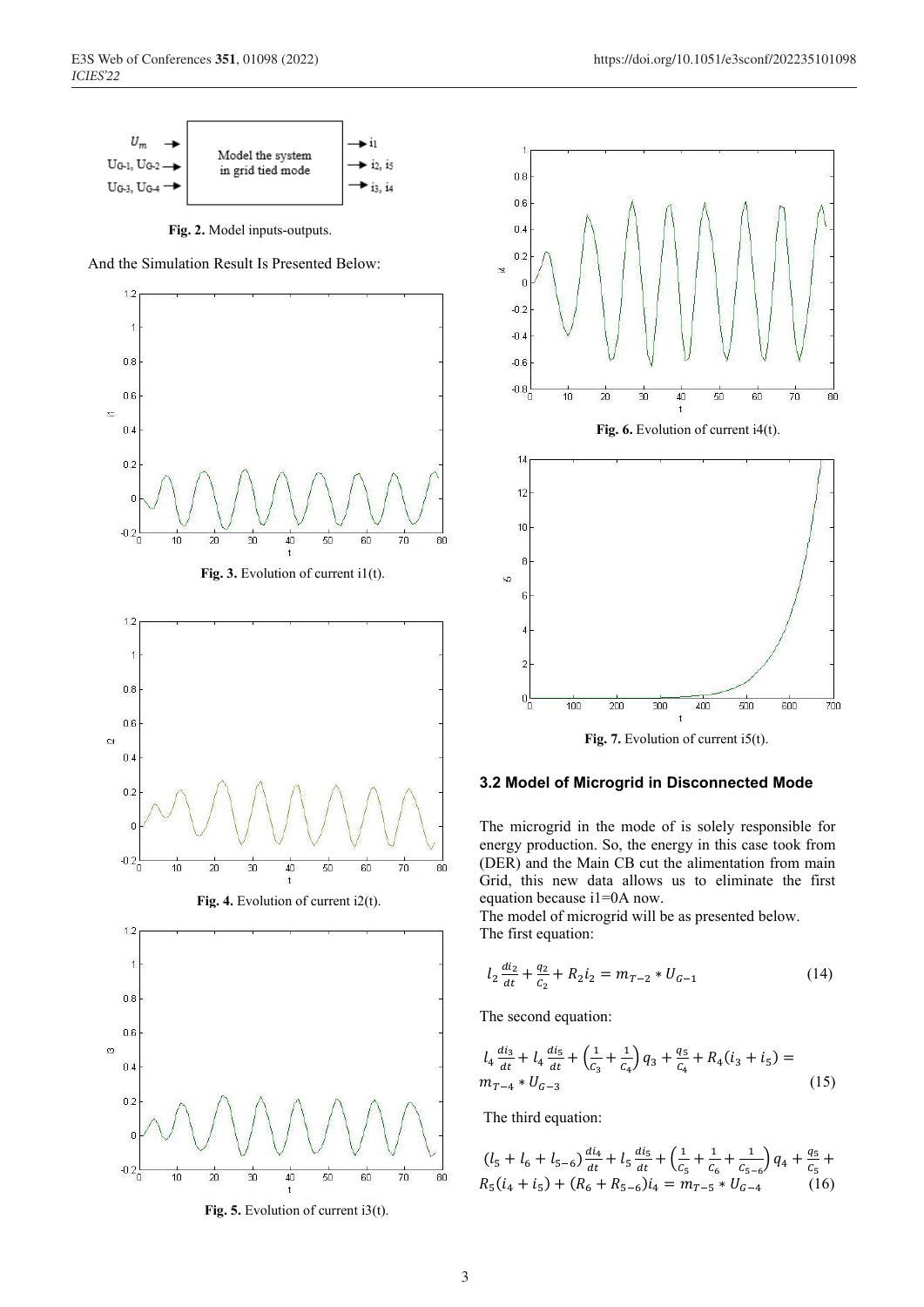

 **Fig. 2.** Model inputs-outputs.

And the Simulation Result Is Presented Below:



Fig. 5. Evolution of current i3(t).



Fig. 7. Evolution of current i5(t).

#### **3.2 Model of Microgrid in Disconnected Mode**

The microgrid in the mode of is solely responsible for energy production. So, the energy in this case took from (DER) and the Main CB cut the alimentation from main Grid, this new data allows us to eliminate the first equation because i1=0A now.

The model of microgrid will be as presented below. The first equation:

$$
l_2 \frac{di_2}{dt} + \frac{q_2}{c_2} + R_2 i_2 = m_{T-2} * U_{G-1}
$$
 (14)

The second equation:

$$
l_4 \frac{di_3}{dt} + l_4 \frac{di_5}{dt} + \left(\frac{1}{c_3} + \frac{1}{c_4}\right) q_3 + \frac{q_5}{c_4} + R_4(i_3 + i_5) =
$$
  

$$
m_{T-4} * U_{G-3}
$$
 (15)

The third equation:

$$
(l_5 + l_6 + l_{5-6})\frac{di_4}{dt} + l_5 \frac{di_5}{dt} + \left(\frac{1}{c_5} + \frac{1}{c_6} + \frac{1}{c_{5-6}}\right)q_4 + \frac{q_5}{c_5} +
$$
  
\n
$$
R_5(i_4 + i_5) + (R_6 + R_{5-6})i_4 = m_{T-5} * U_{G-4}
$$
 (16)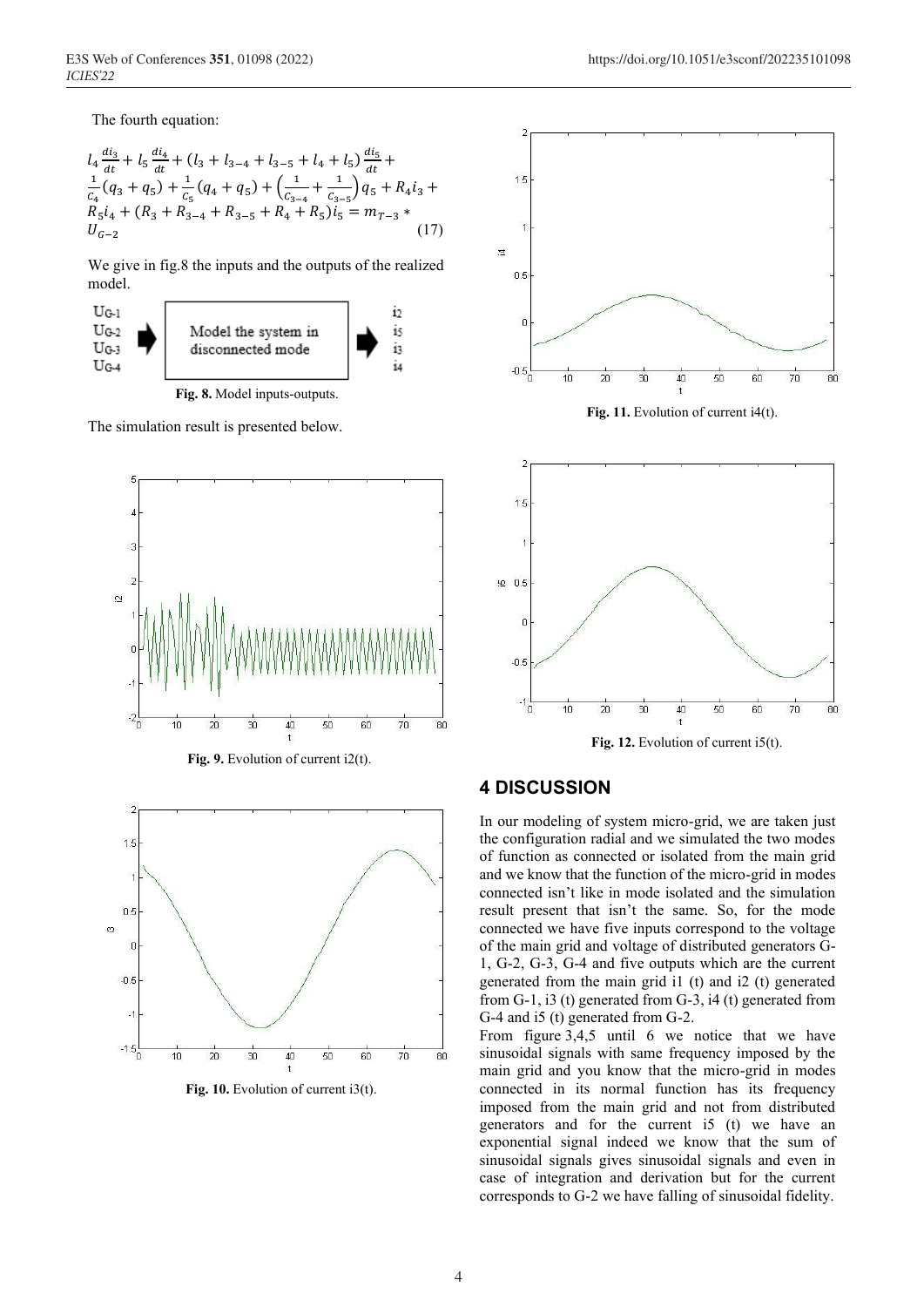The fourth equation:

$$
l_4 \frac{di_3}{dt} + l_5 \frac{di_4}{dt} + (l_3 + l_{3-4} + l_{3-5} + l_4 + l_5) \frac{di_5}{dt} +
$$
  
\n
$$
\frac{1}{C_4} (q_3 + q_5) + \frac{1}{C_5} (q_4 + q_5) + \left( \frac{1}{C_{3-4}} + \frac{1}{C_{3-5}} \right) q_5 + R_4 i_3 +
$$
  
\n
$$
R_5 i_4 + (R_3 + R_{3-4} + R_{3-5} + R_4 + R_5) i_5 = m_{T-3} *
$$
  
\n
$$
U_{G-2}
$$
\n(17)

We give in fig.8 the inputs and the outputs of the realized model.



 **Fig. 8.** Model inputs-outputs.

The simulation result is presented below.



**Fig. 10.** Evolution of current i3(t).





## **4 DISCUSSION**

In our modeling of system micro-grid, we are taken just the configuration radial and we simulated the two modes of function as connected or isolated from the main grid and we know that the function of the micro-grid in modes connected isn't like in mode isolated and the simulation result present that isn't the same. So, for the mode connected we have five inputs correspond to the voltage of the main grid and voltage of distributed generators G-1, G-2, G-3, G-4 and five outputs which are the current generated from the main grid i1 (t) and i2 (t) generated from G-1, i3 (t) generated from G-3, i4 (t) generated from G-4 and i5 (t) generated from G-2.

From figure 3,4,5 until 6 we notice that we have sinusoidal signals with same frequency imposed by the main grid and you know that the micro-grid in modes connected in its normal function has its frequency imposed from the main grid and not from distributed generators and for the current i5 (t) we have an exponential signal indeed we know that the sum of sinusoidal signals gives sinusoidal signals and even in case of integration and derivation but for the current corresponds to G-2 we have falling of sinusoidal fidelity.

E3S Web of Conferences **351**, 01098 (2022) https://doi.org/10.1051/e3sconf/202235101098